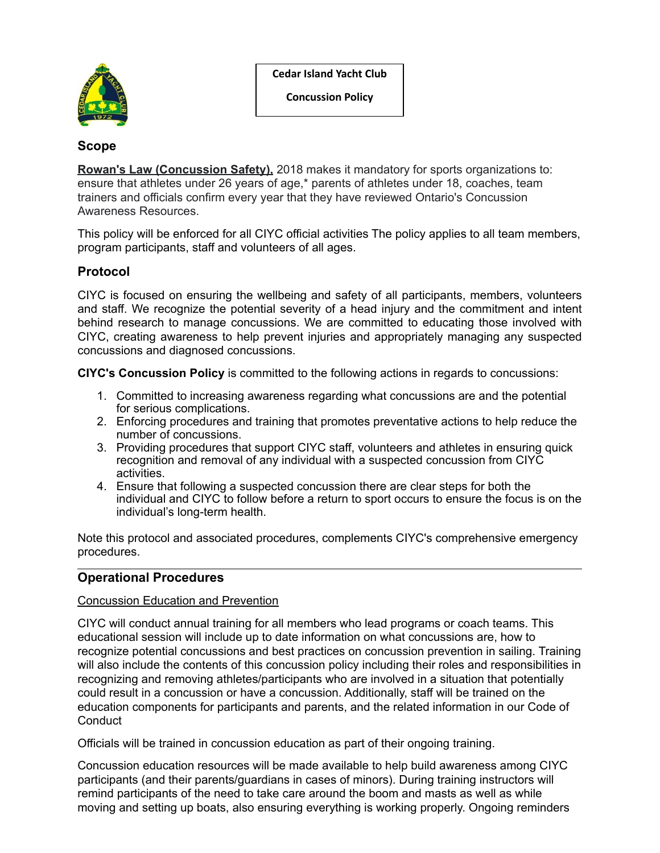**Cedar Island Yacht Club**



**Concussion Policy**

# **Scope**

**Rowan's Law (Concussion Safety),** 2018 makes it mandatory for sports organizations to: ensure that athletes under 26 years of age,\* parents of athletes under 18, coaches, team trainers and officials confirm every year that they have reviewed Ontario's Concussion Awareness Resources.

This policy will be enforced for all CIYC official activities The policy applies to all team members, program participants, staff and volunteers of all ages.

# **Protocol**

CIYC is focused on ensuring the wellbeing and safety of all participants, members, volunteers and staff. We recognize the potential severity of a head injury and the commitment and intent behind research to manage concussions. We are committed to educating those involved with CIYC, creating awareness to help prevent injuries and appropriately managing any suspected concussions and diagnosed concussions.

**CIYC's Concussion Policy** is committed to the following actions in regards to concussions:

- 1. Committed to increasing awareness regarding what concussions are and the potential for serious complications.
- 2. Enforcing procedures and training that promotes preventative actions to help reduce the number of concussions.
- 3. Providing procedures that support CIYC staff, volunteers and athletes in ensuring quick recognition and removal of any individual with a suspected concussion from CIYC activities.
- 4. Ensure that following a suspected concussion there are clear steps for both the individual and CIYC to follow before a return to sport occurs to ensure the focus is on the individual's long-term health.

Note this protocol and associated procedures, complements CIYC's comprehensive emergency procedures.

# **Operational Procedures**

# Concussion Education and Prevention

CIYC will conduct annual training for all members who lead programs or coach teams. This educational session will include up to date information on what concussions are, how to recognize potential concussions and best practices on concussion prevention in sailing. Training will also include the contents of this concussion policy including their roles and responsibilities in recognizing and removing athletes/participants who are involved in a situation that potentially could result in a concussion or have a concussion. Additionally, staff will be trained on the education components for participants and parents, and the related information in our Code of **Conduct** 

Officials will be trained in concussion education as part of their ongoing training.

Concussion education resources will be made available to help build awareness among CIYC participants (and their parents/guardians in cases of minors). During training instructors will remind participants of the need to take care around the boom and masts as well as while moving and setting up boats, also ensuring everything is working properly. Ongoing reminders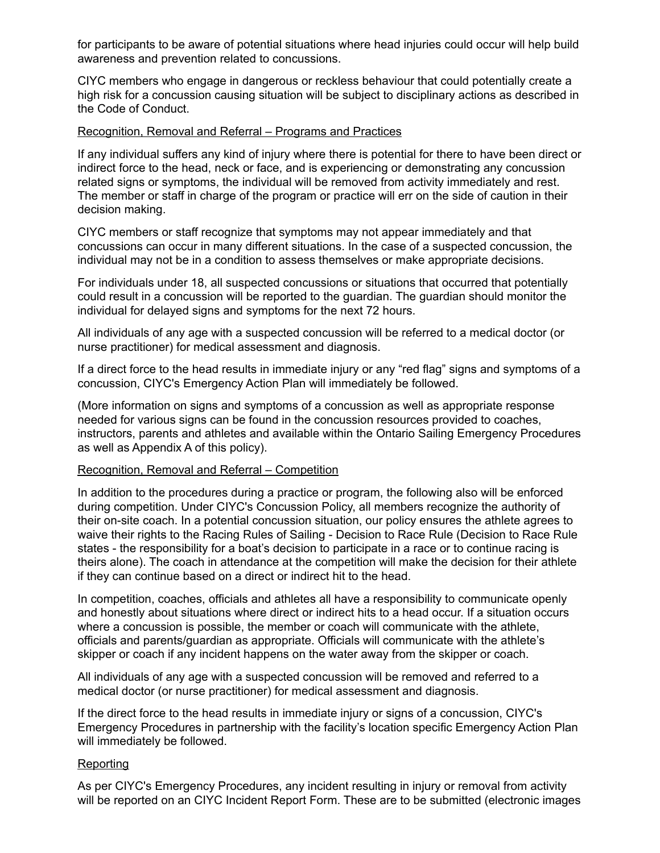for participants to be aware of potential situations where head injuries could occur will help build awareness and prevention related to concussions.

CIYC members who engage in dangerous or reckless behaviour that could potentially create a high risk for a concussion causing situation will be subject to disciplinary actions as described in the Code of Conduct.

## Recognition, Removal and Referral – Programs and Practices

If any individual suffers any kind of injury where there is potential for there to have been direct or indirect force to the head, neck or face, and is experiencing or demonstrating any concussion related signs or symptoms, the individual will be removed from activity immediately and rest. The member or staff in charge of the program or practice will err on the side of caution in their decision making.

CIYC members or staff recognize that symptoms may not appear immediately and that concussions can occur in many different situations. In the case of a suspected concussion, the individual may not be in a condition to assess themselves or make appropriate decisions.

For individuals under 18, all suspected concussions or situations that occurred that potentially could result in a concussion will be reported to the guardian. The guardian should monitor the individual for delayed signs and symptoms for the next 72 hours.

All individuals of any age with a suspected concussion will be referred to a medical doctor (or nurse practitioner) for medical assessment and diagnosis.

If a direct force to the head results in immediate injury or any "red flag" signs and symptoms of a concussion, CIYC's Emergency Action Plan will immediately be followed.

(More information on signs and symptoms of a concussion as well as appropriate response needed for various signs can be found in the concussion resources provided to coaches, instructors, parents and athletes and available within the Ontario Sailing Emergency Procedures as well as Appendix A of this policy).

## Recognition, Removal and Referral – Competition

In addition to the procedures during a practice or program, the following also will be enforced during competition. Under CIYC's Concussion Policy, all members recognize the authority of their on-site coach. In a potential concussion situation, our policy ensures the athlete agrees to waive their rights to the Racing Rules of Sailing - Decision to Race Rule (Decision to Race Rule states - the responsibility for a boat's decision to participate in a race or to continue racing is theirs alone). The coach in attendance at the competition will make the decision for their athlete if they can continue based on a direct or indirect hit to the head.

In competition, coaches, officials and athletes all have a responsibility to communicate openly and honestly about situations where direct or indirect hits to a head occur. If a situation occurs where a concussion is possible, the member or coach will communicate with the athlete, officials and parents/guardian as appropriate. Officials will communicate with the athlete's skipper or coach if any incident happens on the water away from the skipper or coach.

All individuals of any age with a suspected concussion will be removed and referred to a medical doctor (or nurse practitioner) for medical assessment and diagnosis.

If the direct force to the head results in immediate injury or signs of a concussion, CIYC's Emergency Procedures in partnership with the facility's location specific Emergency Action Plan will immediately be followed.

## **Reporting**

As per CIYC's Emergency Procedures, any incident resulting in injury or removal from activity will be reported on an CIYC Incident Report Form. These are to be submitted (electronic images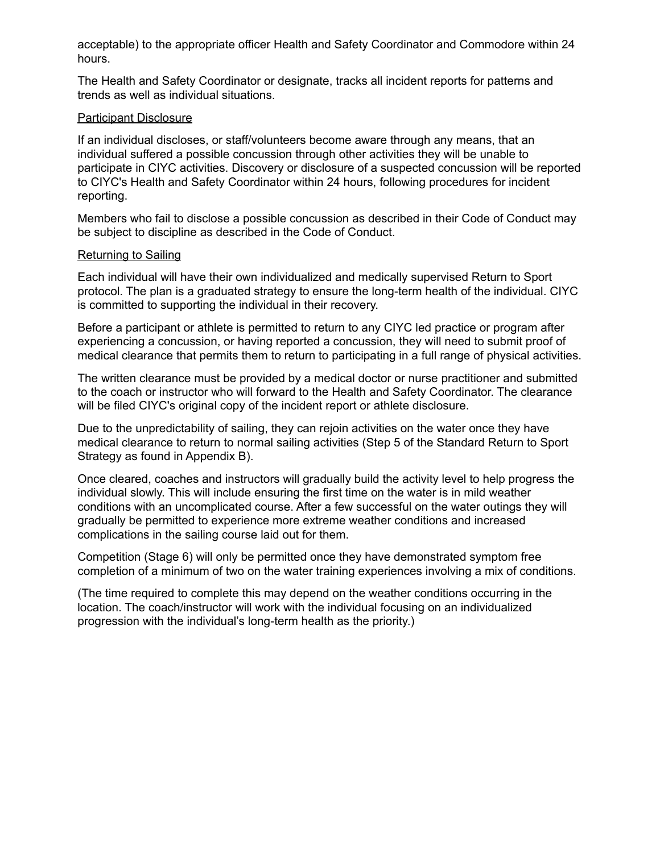acceptable) to the appropriate officer Health and Safety Coordinator and Commodore within 24 hours.

The Health and Safety Coordinator or designate, tracks all incident reports for patterns and trends as well as individual situations.

## Participant Disclosure

If an individual discloses, or staff/volunteers become aware through any means, that an individual suffered a possible concussion through other activities they will be unable to participate in CIYC activities. Discovery or disclosure of a suspected concussion will be reported to CIYC's Health and Safety Coordinator within 24 hours, following procedures for incident reporting.

Members who fail to disclose a possible concussion as described in their Code of Conduct may be subject to discipline as described in the Code of Conduct.

## Returning to Sailing

Each individual will have their own individualized and medically supervised Return to Sport protocol. The plan is a graduated strategy to ensure the long-term health of the individual. CIYC is committed to supporting the individual in their recovery.

Before a participant or athlete is permitted to return to any CIYC led practice or program after experiencing a concussion, or having reported a concussion, they will need to submit proof of medical clearance that permits them to return to participating in a full range of physical activities.

The written clearance must be provided by a medical doctor or nurse practitioner and submitted to the coach or instructor who will forward to the Health and Safety Coordinator. The clearance will be filed CIYC's original copy of the incident report or athlete disclosure.

Due to the unpredictability of sailing, they can rejoin activities on the water once they have medical clearance to return to normal sailing activities (Step 5 of the Standard Return to Sport Strategy as found in Appendix B).

Once cleared, coaches and instructors will gradually build the activity level to help progress the individual slowly. This will include ensuring the first time on the water is in mild weather conditions with an uncomplicated course. After a few successful on the water outings they will gradually be permitted to experience more extreme weather conditions and increased complications in the sailing course laid out for them.

Competition (Stage 6) will only be permitted once they have demonstrated symptom free completion of a minimum of two on the water training experiences involving a mix of conditions.

(The time required to complete this may depend on the weather conditions occurring in the location. The coach/instructor will work with the individual focusing on an individualized progression with the individual's long-term health as the priority.)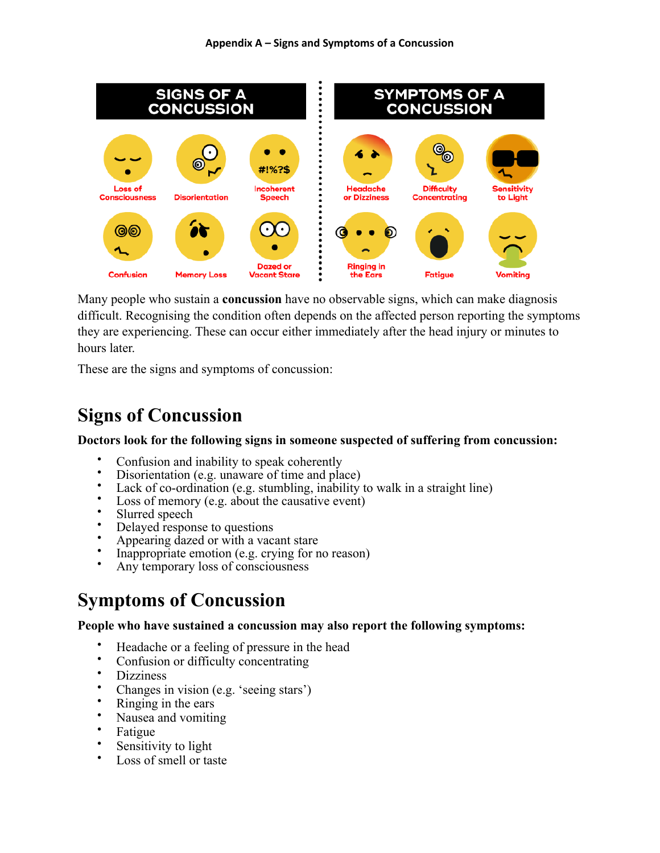**Appendix A – Signs and Symptoms of a Concussion**



Many people who sustain a **concussion** have no observable signs, which can make diagnosis difficult. Recognising the condition often depends on the affected person reporting the symptoms they are experiencing. These can occur either immediately after the head injury or minutes to hours later.

These are the signs and symptoms of concussion:

# **Signs of Concussion**

# **Doctors look for the following signs in someone suspected of suffering from concussion:**

- Confusion and inability to speak coherently
- Disorientation (e.g. unaware of time and place)<br>• Lack of co ordination (e.g. stumbling insbility)
- Lack of co-ordination (e.g. stumbling, inability to walk in a straight line)
- Loss of memory (e.g. about the causative event)
- Slurred speech
- Delayed response to questions
- Appearing dazed or with a vacant stare
- Inappropriate emotion (e.g. crying for no reason)
- Any temporary loss of consciousness

# **Symptoms of Concussion**

# **People who have sustained a concussion may also report the following symptoms:**

- Headache or a feeling of pressure in the head
- Confusion or difficulty concentrating
- **Dizziness**
- Changes in vision (e.g. 'seeing stars')
- Ringing in the ears
- Nausea and vomiting
- Fatigue
- Sensitivity to light
- Loss of smell or taste